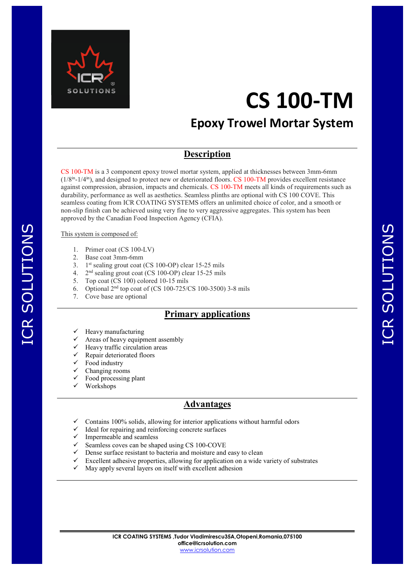

# **Epoxy Trowel Mortar System**

### **Description**

CS 100-TM is a 3 component epoxy trowel mortar system, applied at thicknesses between 3mm-6mm  $(1/8^{\text{in}}-1/4^{\text{in}})$ , and designed to protect new or deteriorated floors. CS 100-TM provides excellent resistance against compression, abrasion, impacts and chemicals. CS 100-TM meets all kinds of requirements such as durability, performance as well as aesthetics. Seamless plinths are optional with CS 100 COVE. This seamless coating from ICR COATING SYSTEMS offers an unlimited choice of color, and a smooth or non-slip finish can be achieved using very fine to very aggressive aggregates. This system has been approved by the Canadian Food Inspection Agency (CFIA).

#### This system is composed of:

ICR SOLUTIONS

ICR SOLUTIONS

- 1. Primer coat (CS 100-LV)
- 2. Base coat 3mm-6mm
- 3. 1 st sealing grout coat (CS 100-OP) clear 15-25 mils
- 4. 2  $2<sup>nd</sup>$  sealing grout coat (CS 100-OP) clear 15-25 mils
- 5. Top coat (CS 100) colored 10-15 mils
- 6. Optional  $2^{nd}$  top coat of (CS 100-725/CS 100-3500) 3-8 mils
- 7. Cove base are optional

## **Primary applications**

- Heavy manufacturing
- Areas of heavy equipment assembly
- Heavy traffic circulation areas
- Repair deteriorated floors
- Food industry
- Changing rooms
- Food processing plant
- Workshops

### **Advantages**

- Contains 100% solids, allowing for interior applications without harmful odors
- Ideal for repairing and reinforcing concrete surfaces
- $\checkmark$  Impermeable and seamless
- $\checkmark$  Seamless coves can be shaped using CS 100-COVE
- $\checkmark$  Dense surface resistant to bacteria and moisture and easy to clean
- $\checkmark$  Excellent adhesive properties, allowing for application on a wide variety of substrates
- May apply several layers on itself with excellent adhesion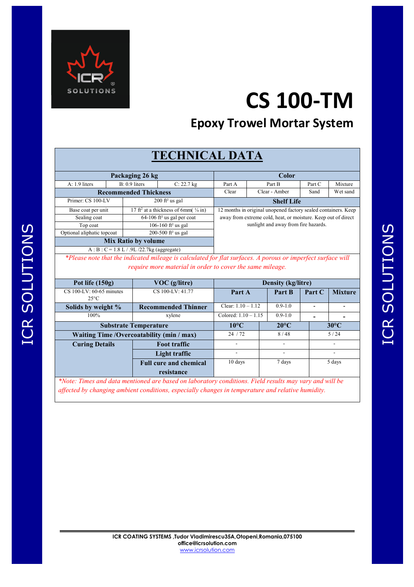

# **Epoxy Trowel Mortar System**

# **TECHNICAL DATA**

| Packaging 26 kg            |  |                                                                |                                | Color                                                                                                                                                                   |          |        |         |
|----------------------------|--|----------------------------------------------------------------|--------------------------------|-------------------------------------------------------------------------------------------------------------------------------------------------------------------------|----------|--------|---------|
| $A: 1.9$ liters            |  | $B: 0.9$ liters                                                | $C: 22.7$ kg                   | Part A                                                                                                                                                                  | Part B   | Part C | Mixture |
|                            |  | Clear - Amber<br>Clear<br>Sand<br><b>Recommended Thickness</b> |                                |                                                                                                                                                                         | Wet sand |        |         |
| Primer: CS 100-LV          |  |                                                                | $200$ ft <sup>2</sup> us gal   | <b>Shelf Life</b>                                                                                                                                                       |          |        |         |
| Base coat per unit         |  | 17 ft <sup>2</sup> at a thickness of 6mm( $\frac{1}{4}$ in)    |                                | 12 months in original unopened factory sealed containers. Keep<br>away from extreme cold, heat, or moisture. Keep out of direct<br>sunlight and away from fire hazards. |          |        |         |
| Sealing coat               |  | $64-106$ ft <sup>2</sup> us gal per coat                       |                                |                                                                                                                                                                         |          |        |         |
| Top coat                   |  | 106-160 ft <sup>2</sup> us gal                                 |                                |                                                                                                                                                                         |          |        |         |
| Optional aliphatic topcoat |  |                                                                | 200-500 ft <sup>2</sup> us gal |                                                                                                                                                                         |          |        |         |
| <b>Mix Ratio by volume</b> |  |                                                                |                                |                                                                                                                                                                         |          |        |         |

A : B : C = 1.8 L / .9L /22.7kg (aggregate) *\*Please note that the indicated mileage is calculated for flat surfaces. A porous or imperfect surface will* 

*require more material in order to cover the same mileage.* 

| Pot life $(150g)$<br>$VOC$ (g/litre)       |                               | <b>Density (kg/litre)</b> |                          |                |                |  |
|--------------------------------------------|-------------------------------|---------------------------|--------------------------|----------------|----------------|--|
| CS 100-LV: 60-65 minutes<br>$25^{\circ}$ C | CS 100-LV: 41.77              | Part A                    | Part B                   | Part C         | <b>Mixture</b> |  |
| Solids by weight %                         | <b>Recommended Thinner</b>    | Clear: $1.10 - 1.12$      | $0.9 - 1.0$              |                |                |  |
| $100\%$                                    | xylene                        | Colored: $1.10 - 1.15$    | $0.9 - 1.0$              |                |                |  |
| <b>Substrate Temperature</b>               | $10^{\circ}$ C                | $20^{\circ}$ C            |                          | $30^{\circ}$ C |                |  |
| Waiting Time /Overcoatability (min / max)  | 24/72                         | 8/48                      | 5/24                     |                |                |  |
| <b>Curing Details</b>                      | <b>Foot traffic</b>           |                           | $\overline{\phantom{a}}$ |                |                |  |
|                                            | Light traffic                 | $\overline{\phantom{a}}$  | ۰                        |                |                |  |
|                                            | <b>Full cure and chemical</b> | $10 \text{ days}$         | 7 days                   |                | 5 days         |  |
|                                            | resistance                    |                           |                          |                |                |  |

*\*Note: Times and data mentioned are based on laboratory conditions. Field results may vary and will be affected by changing ambient conditions, especially changes in temperature and relative humidity.*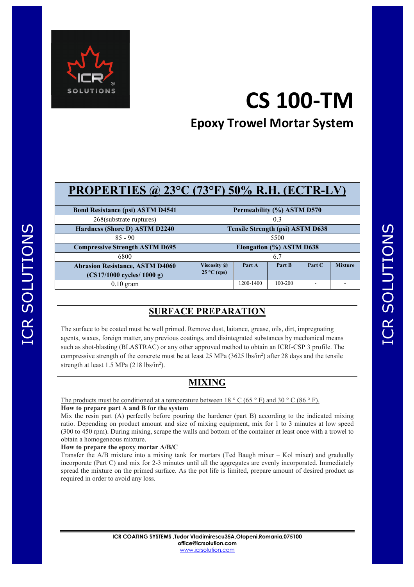

# **Epoxy Trowel Mortar System**

| <b>PROPERTIES</b> @ $23^{\circ}$ C (73°F) 50% R.H. (ECTR-LV)           |                                            |                            |         |        |                |  |  |
|------------------------------------------------------------------------|--------------------------------------------|----------------------------|---------|--------|----------------|--|--|
| <b>Bond Resistance (psi) ASTM D4541</b>                                |                                            | Permeability (%) ASTM D570 |         |        |                |  |  |
| 268(substrate ruptures)                                                | 0.3                                        |                            |         |        |                |  |  |
| Hardness (Shore D) ASTM D2240                                          | <b>Tensile Strength (psi) ASTM D638</b>    |                            |         |        |                |  |  |
| $85 - 90$                                                              | 5500                                       |                            |         |        |                |  |  |
| <b>Compressive Strength ASTM D695</b>                                  | Elongation (%) ASTM D638                   |                            |         |        |                |  |  |
| 6800                                                                   |                                            |                            | 6.7     |        |                |  |  |
| <b>Abrasion Resistance, ASTM D4060</b><br>$(CS17/1000$ cycles/ 1000 g) | Viscosity $\omega$<br>$25^{\circ}$ C (cps) | Part A                     | Part B  | Part C | <b>Mixture</b> |  |  |
| $0.10$ gram                                                            |                                            | 1200-1400                  | 100-200 |        |                |  |  |

## **SURFACE PREPARATION**

The surface to be coated must be well primed. Remove dust, laitance, grease, oils, dirt, impregnating agents, waxes, foreign matter, any previous coatings, and disintegrated substances by mechanical means such as shot-blasting (BLASTRAC) or any other approved method to obtain an ICRI-CSP 3 profile. The compressive strength of the concrete must be at least 25 MPa  $(3625 \text{ lbs/in}^2)$  after 28 days and the tensile strength at least  $1.5$  MPa  $(218 \text{ lbs/in}^2)$ .

## **MIXING**

The products must be conditioned at a temperature between  $18 \degree$  C (65  $\degree$  F) and 30  $\degree$  C (86  $\degree$  F).

#### **How to prepare part A and B for the system**

Mix the resin part (A) perfectly before pouring the hardener (part B) according to the indicated mixing ratio. Depending on product amount and size of mixing equipment, mix for 1 to 3 minutes at low speed (300 to 450 rpm). During mixing, scrape the walls and bottom of the container at least once with a trowel to obtain a homogeneous mixture.

#### **How to prepare the epoxy mortar A/B/C**

Transfer the A/B mixture into a mixing tank for mortars (Ted Baugh mixer – Kol mixer) and gradually incorporate (Part C) and mix for 2-3 minutes until all the aggregates are evenly incorporated. Immediately spread the mixture on the primed surface. As the pot life is limited, prepare amount of desired product as required in order to avoid any loss.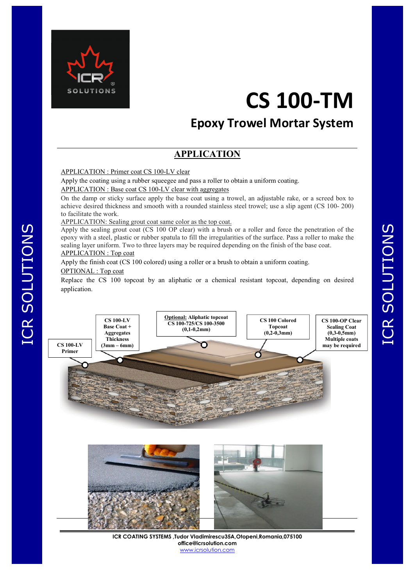

# **Epoxy Trowel Mortar System**

## **APPLICATION**

#### APPLICATION : Primer coat CS 100-LV clear

Apply the coating using a rubber squeegee and pass a roller to obtain a uniform coating. APPLICATION : Base coat CS 100-LV clear with aggregates

On the damp or sticky surface apply the base coat using a trowel, an adjustable rake, or a screed box to achieve desired thickness and smooth with a rounded stainless steel trowel; use a slip agent (CS 100- 200) to facilitate the work.

APPLICATION: Sealing grout coat same color as the top coat.

Apply the sealing grout coat (CS 100 OP clear) with a brush or a roller and force the penetration of the epoxy with a steel, plastic or rubber spatula to fill the irregularities of the surface. Pass a roller to make the sealing layer uniform. Two to three layers may be required depending on the finish of the base coat. APPLICATION : Top coat

Apply the finish coat (CS 100 colored) using a roller or a brush to obtain a uniform coating.

#### OPTIONAL : Top coat

Replace the CS 100 topcoat by an aliphatic or a chemical resistant topcoat, depending on desired application.





**ICR COATING SYSTEMS ,Tudor Vladimirescu35A,Otopeni,Romania,075100 office@icrsolution.com** www.icrsolution.com